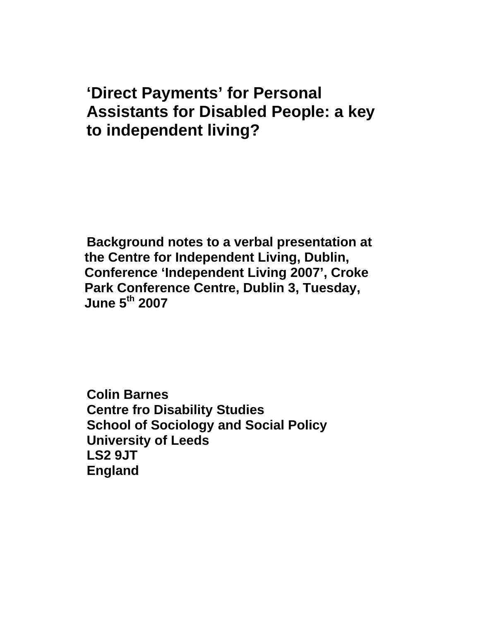# **'Direct Payments' for Personal Assistants for Disabled People: a key to independent living?**

**Background notes to a verbal presentation at the Centre for Independent Living, Dublin, Conference 'Independent Living 2007', Croke Park Conference Centre, Dublin 3, Tuesday, June 5th 2007** 

**Colin Barnes Centre fro Disability Studies School of Sociology and Social Policy University of Leeds LS2 9JT England**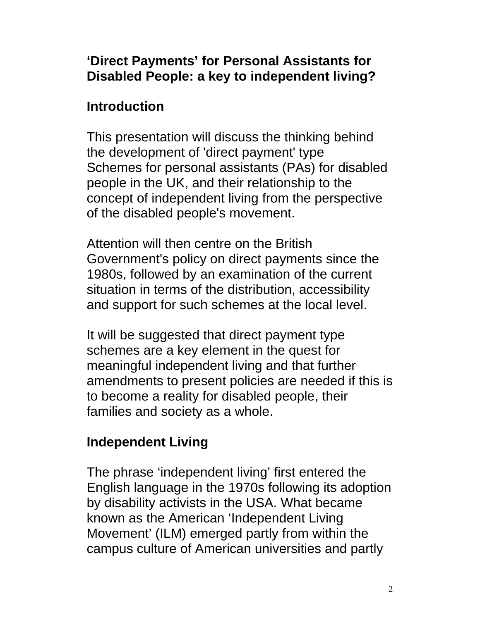## **'Direct Payments' for Personal Assistants for Disabled People: a key to independent living?**

## **Introduction**

This presentation will discuss the thinking behind the development of 'direct payment' type Schemes for personal assistants (PAs) for disabled people in the UK, and their relationship to the concept of independent living from the perspective of the disabled people's movement.

Attention will then centre on the British Government's policy on direct payments since the 1980s, followed by an examination of the current situation in terms of the distribution, accessibility and support for such schemes at the local level.

It will be suggested that direct payment type schemes are a key element in the quest for meaningful independent living and that further amendments to present policies are needed if this is to become a reality for disabled people, their families and society as a whole.

## **Independent Living**

The phrase 'independent living' first entered the English language in the 1970s following its adoption by disability activists in the USA. What became known as the American 'Independent Living Movement' (ILM) emerged partly from within the campus culture of American universities and partly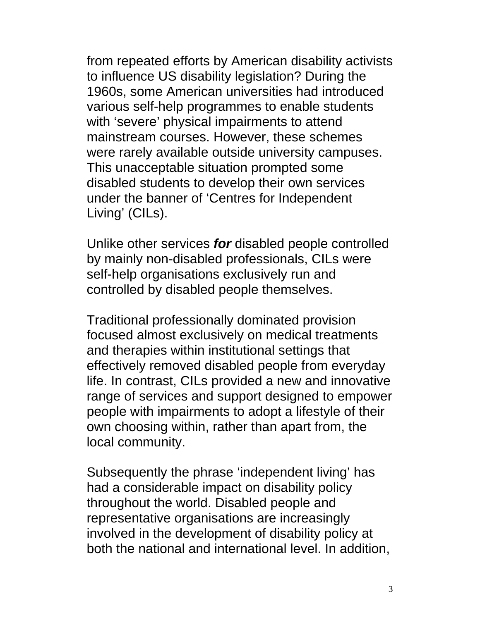from repeated efforts by American disability activists to influence US disability legislation? During the 1960s, some American universities had introduced various self-help programmes to enable students with 'severe' physical impairments to attend mainstream courses. However, these schemes were rarely available outside university campuses. This unacceptable situation prompted some disabled students to develop their own services under the banner of 'Centres for Independent Living' (CILs).

Unlike other services *for* disabled people controlled by mainly non-disabled professionals, CILs were self-help organisations exclusively run and controlled by disabled people themselves.

Traditional professionally dominated provision focused almost exclusively on medical treatments and therapies within institutional settings that effectively removed disabled people from everyday life. In contrast, CILs provided a new and innovative range of services and support designed to empower people with impairments to adopt a lifestyle of their own choosing within, rather than apart from, the local community.

Subsequently the phrase 'independent living' has had a considerable impact on disability policy throughout the world. Disabled people and representative organisations are increasingly involved in the development of disability policy at both the national and international level. In addition,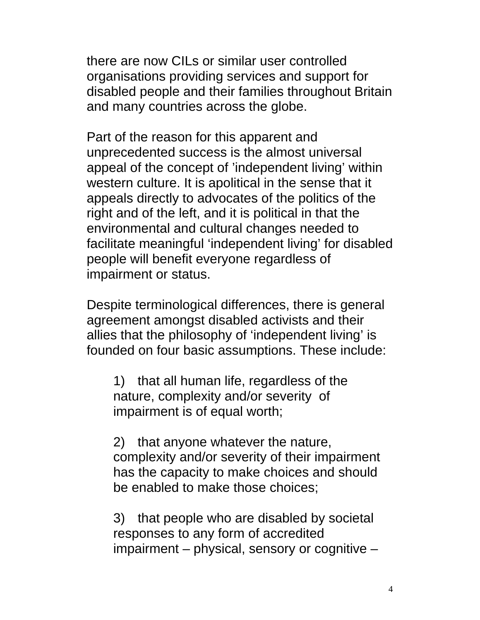there are now CILs or similar user controlled organisations providing services and support for disabled people and their families throughout Britain and many countries across the globe.

Part of the reason for this apparent and unprecedented success is the almost universal appeal of the concept of 'independent living' within western culture. It is apolitical in the sense that it appeals directly to advocates of the politics of the right and of the left, and it is political in that the environmental and cultural changes needed to facilitate meaningful 'independent living' for disabled people will benefit everyone regardless of impairment or status.

Despite terminological differences, there is general agreement amongst disabled activists and their allies that the philosophy of 'independent living' is founded on four basic assumptions. These include:

1) that all human life, regardless of the nature, complexity and/or severity of impairment is of equal worth;

2) that anyone whatever the nature, complexity and/or severity of their impairment has the capacity to make choices and should be enabled to make those choices;

3) that people who are disabled by societal responses to any form of accredited impairment – physical, sensory or cognitive –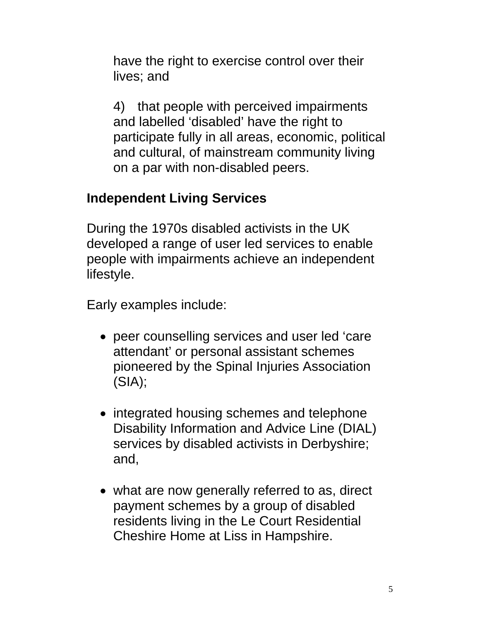have the right to exercise control over their lives; and

4) that people with perceived impairments and labelled 'disabled' have the right to participate fully in all areas, economic, political and cultural, of mainstream community living on a par with non-disabled peers.

## **Independent Living Services**

During the 1970s disabled activists in the UK developed a range of user led services to enable people with impairments achieve an independent lifestyle.

Early examples include:

- peer counselling services and user led 'care attendant' or personal assistant schemes pioneered by the Spinal Injuries Association (SIA);
- integrated housing schemes and telephone Disability Information and Advice Line (DIAL) services by disabled activists in Derbyshire; and,
- what are now generally referred to as, direct payment schemes by a group of disabled residents living in the Le Court Residential Cheshire Home at Liss in Hampshire.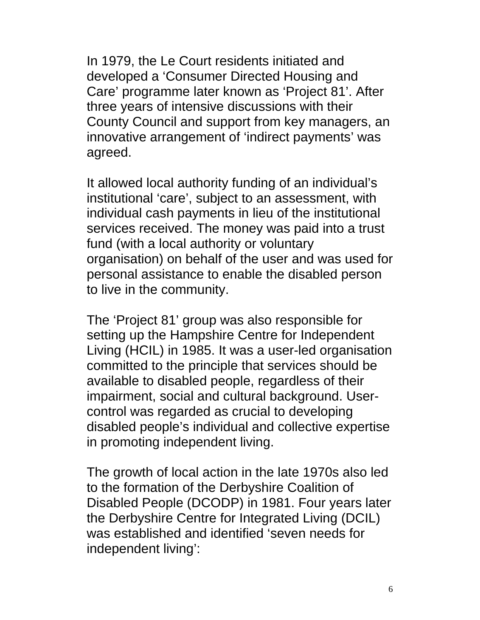In 1979, the Le Court residents initiated and developed a 'Consumer Directed Housing and Care' programme later known as 'Project 81'. After three years of intensive discussions with their County Council and support from key managers, an innovative arrangement of 'indirect payments' was agreed.

It allowed local authority funding of an individual's institutional 'care', subject to an assessment, with individual cash payments in lieu of the institutional services received. The money was paid into a trust fund (with a local authority or voluntary organisation) on behalf of the user and was used for personal assistance to enable the disabled person to live in the community.

The 'Project 81' group was also responsible for setting up the Hampshire Centre for Independent Living (HCIL) in 1985. It was a user-led organisation committed to the principle that services should be available to disabled people, regardless of their impairment, social and cultural background. Usercontrol was regarded as crucial to developing disabled people's individual and collective expertise in promoting independent living.

The growth of local action in the late 1970s also led to the formation of the Derbyshire Coalition of Disabled People (DCODP) in 1981. Four years later the Derbyshire Centre for Integrated Living (DCIL) was established and identified 'seven needs for independent living':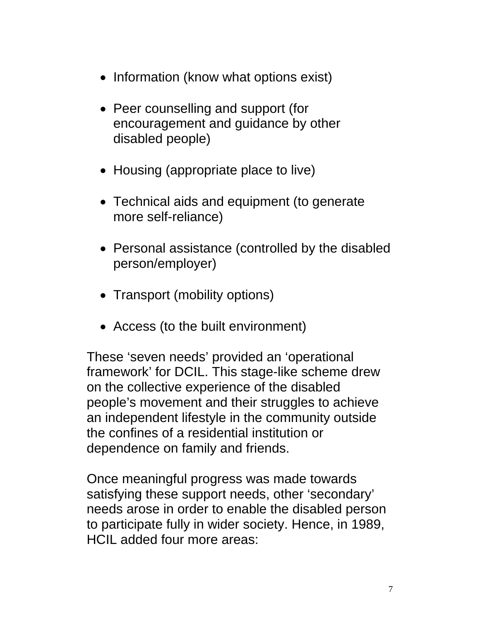- Information (know what options exist)
- Peer counselling and support (for encouragement and guidance by other disabled people)
- Housing (appropriate place to live)
- Technical aids and equipment (to generate more self-reliance)
- Personal assistance (controlled by the disabled person/employer)
- Transport (mobility options)
- Access (to the built environment)

These 'seven needs' provided an 'operational framework' for DCIL. This stage-like scheme drew on the collective experience of the disabled people's movement and their struggles to achieve an independent lifestyle in the community outside the confines of a residential institution or dependence on family and friends.

Once meaningful progress was made towards satisfying these support needs, other 'secondary' needs arose in order to enable the disabled person to participate fully in wider society. Hence, in 1989, HCIL added four more areas: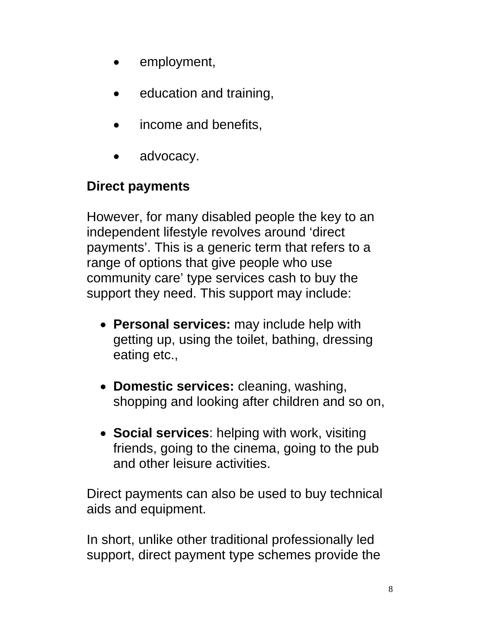- employment,
- education and training,
- income and benefits,
- advocacy.

# **Direct payments**

However, for many disabled people the key to an independent lifestyle revolves around 'direct payments'. This is a generic term that refers to a range of options that give people who use community care' type services cash to buy the support they need. This support may include:

- **Personal services:** may include help with getting up, using the toilet, bathing, dressing eating etc.,
- **Domestic services:** cleaning, washing, shopping and looking after children and so on,
- **Social services**: helping with work, visiting friends, going to the cinema, going to the pub and other leisure activities.

Direct payments can also be used to buy technical aids and equipment.

In short, unlike other traditional professionally led support, direct payment type schemes provide the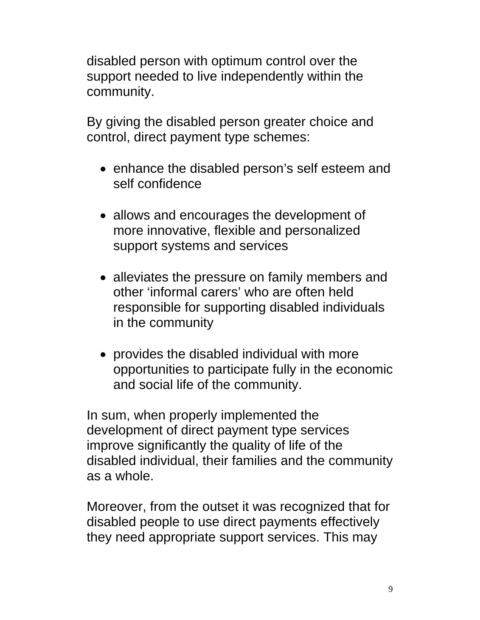disabled person with optimum control over the support needed to live independently within the community.

By giving the disabled person greater choice and control, direct payment type schemes:

- enhance the disabled person's self esteem and self confidence
- allows and encourages the development of more innovative, flexible and personalized support systems and services
- alleviates the pressure on family members and other 'informal carers' who are often held responsible for supporting disabled individuals in the community
- provides the disabled individual with more opportunities to participate fully in the economic and social life of the community.

In sum, when properly implemented the development of direct payment type services improve significantly the quality of life of the disabled individual, their families and the community as a whole.

Moreover, from the outset it was recognized that for disabled people to use direct payments effectively they need appropriate support services. This may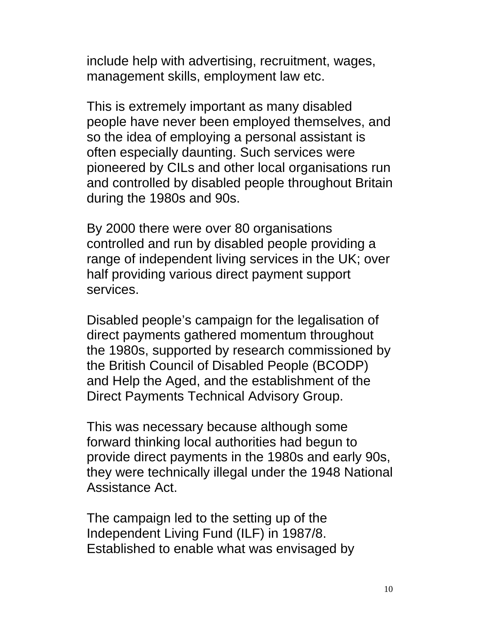include help with advertising, recruitment, wages, management skills, employment law etc.

This is extremely important as many disabled people have never been employed themselves, and so the idea of employing a personal assistant is often especially daunting. Such services were pioneered by CILs and other local organisations run and controlled by disabled people throughout Britain during the 1980s and 90s.

By 2000 there were over 80 organisations controlled and run by disabled people providing a range of independent living services in the UK; over half providing various direct payment support services.

Disabled people's campaign for the legalisation of direct payments gathered momentum throughout the 1980s, supported by research commissioned by the British Council of Disabled People (BCODP) and Help the Aged, and the establishment of the Direct Payments Technical Advisory Group.

This was necessary because although some forward thinking local authorities had begun to provide direct payments in the 1980s and early 90s, they were technically illegal under the 1948 National Assistance Act.

The campaign led to the setting up of the Independent Living Fund (ILF) in 1987/8. Established to enable what was envisaged by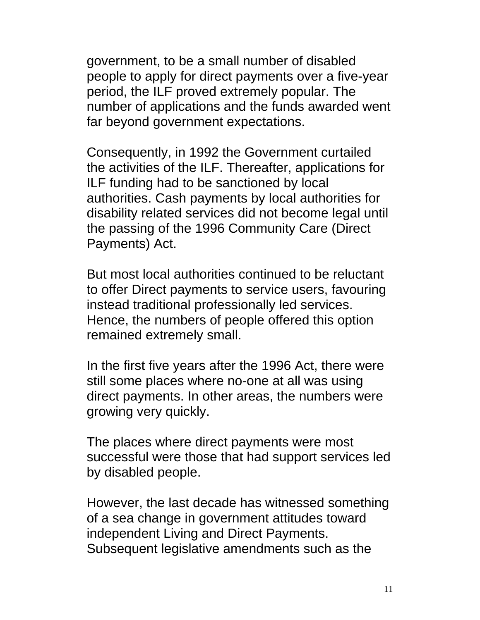government, to be a small number of disabled people to apply for direct payments over a five-year period, the ILF proved extremely popular. The number of applications and the funds awarded went far beyond government expectations.

Consequently, in 1992 the Government curtailed the activities of the ILF. Thereafter, applications for ILF funding had to be sanctioned by local authorities. Cash payments by local authorities for disability related services did not become legal until the passing of the 1996 Community Care (Direct Payments) Act.

But most local authorities continued to be reluctant to offer Direct payments to service users, favouring instead traditional professionally led services. Hence, the numbers of people offered this option remained extremely small.

In the first five years after the 1996 Act, there were still some places where no-one at all was using direct payments. In other areas, the numbers were growing very quickly.

The places where direct payments were most successful were those that had support services led by disabled people.

However, the last decade has witnessed something of a sea change in government attitudes toward independent Living and Direct Payments. Subsequent legislative amendments such as the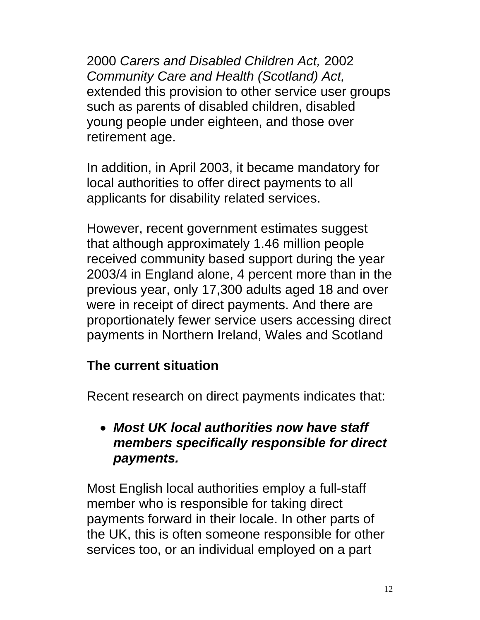2000 *Carers and Disabled Children Act,* 2002 *Community Care and Health (Scotland) Act,*  extended this provision to other service user groups such as parents of disabled children, disabled young people under eighteen, and those over retirement age.

In addition, in April 2003, it became mandatory for local authorities to offer direct payments to all applicants for disability related services.

However, recent government estimates suggest that although approximately 1.46 million people received community based support during the year 2003/4 in England alone, 4 percent more than in the previous year, only 17,300 adults aged 18 and over were in receipt of direct payments. And there are proportionately fewer service users accessing direct payments in Northern Ireland, Wales and Scotland

#### **The current situation**

Recent research on direct payments indicates that:

## • *Most UK local authorities now have staff members specifically responsible for direct payments.*

Most English local authorities employ a full-staff member who is responsible for taking direct payments forward in their locale. In other parts of the UK, this is often someone responsible for other services too, or an individual employed on a part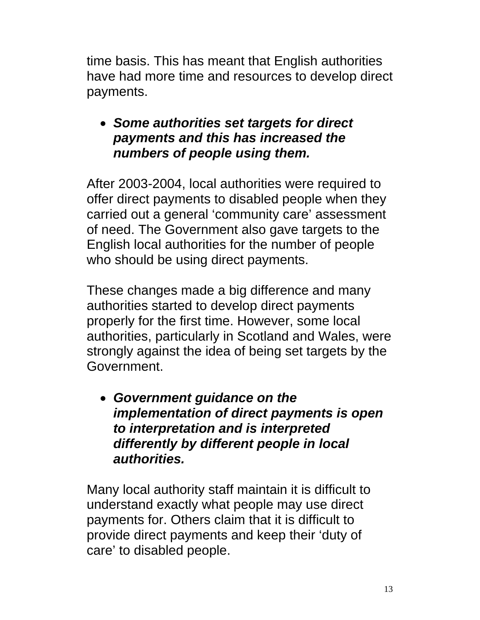time basis. This has meant that English authorities have had more time and resources to develop direct payments.

## • *Some authorities set targets for direct payments and this has increased the numbers of people using them.*

After 2003-2004, local authorities were required to offer direct payments to disabled people when they carried out a general 'community care' assessment of need. The Government also gave targets to the English local authorities for the number of people who should be using direct payments.

These changes made a big difference and many authorities started to develop direct payments properly for the first time. However, some local authorities, particularly in Scotland and Wales, were strongly against the idea of being set targets by the Government.

• *Government guidance on the implementation of direct payments is open to interpretation and is interpreted differently by different people in local authorities.* 

Many local authority staff maintain it is difficult to understand exactly what people may use direct payments for. Others claim that it is difficult to provide direct payments and keep their 'duty of care' to disabled people.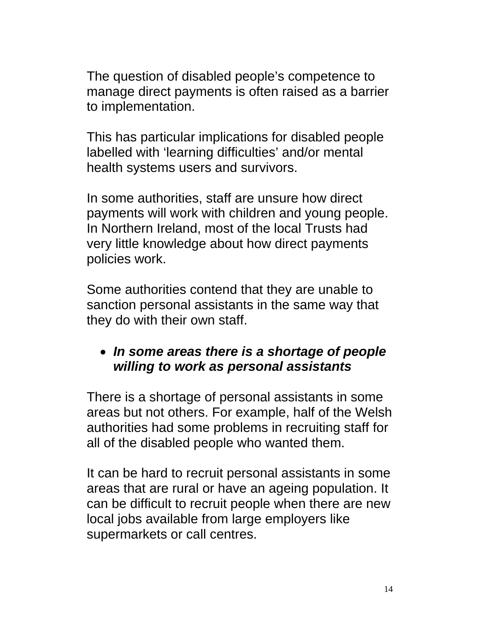The question of disabled people's competence to manage direct payments is often raised as a barrier to implementation.

This has particular implications for disabled people labelled with 'learning difficulties' and/or mental health systems users and survivors.

In some authorities, staff are unsure how direct payments will work with children and young people. In Northern Ireland, most of the local Trusts had very little knowledge about how direct payments policies work.

Some authorities contend that they are unable to sanction personal assistants in the same way that they do with their own staff.

#### • *In some areas there is a shortage of people willing to work as personal assistants*

There is a shortage of personal assistants in some areas but not others. For example, half of the Welsh authorities had some problems in recruiting staff for all of the disabled people who wanted them.

It can be hard to recruit personal assistants in some areas that are rural or have an ageing population. It can be difficult to recruit people when there are new local jobs available from large employers like supermarkets or call centres.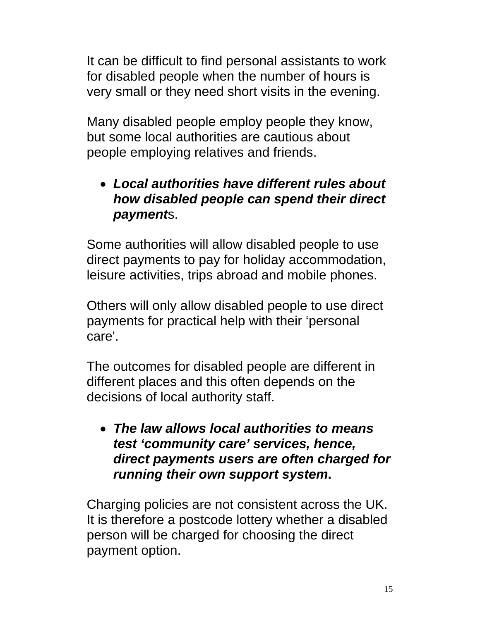It can be difficult to find personal assistants to work for disabled people when the number of hours is very small or they need short visits in the evening.

Many disabled people employ people they know, but some local authorities are cautious about people employing relatives and friends.

## • *Local authorities have different rules about how disabled people can spend their direct payment*s.

Some authorities will allow disabled people to use direct payments to pay for holiday accommodation, leisure activities, trips abroad and mobile phones.

Others will only allow disabled people to use direct payments for practical help with their 'personal care'.

The outcomes for disabled people are different in different places and this often depends on the decisions of local authority staff.

• *The law allows local authorities to means test 'community care' services, hence, direct payments users are often charged for running their own support system***.** 

Charging policies are not consistent across the UK. It is therefore a postcode lottery whether a disabled person will be charged for choosing the direct payment option.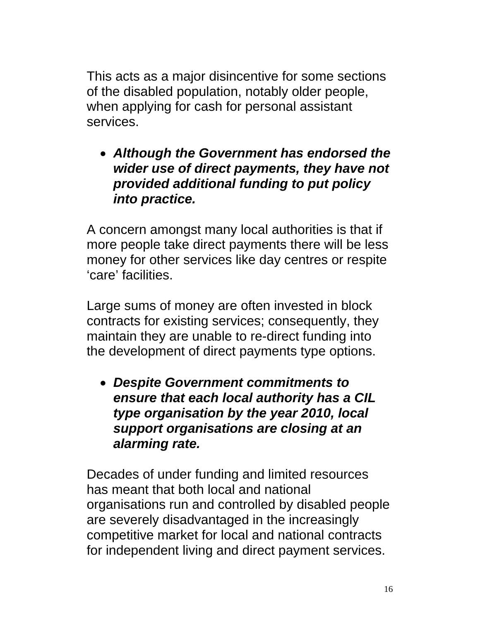This acts as a major disincentive for some sections of the disabled population, notably older people, when applying for cash for personal assistant services.

• *Although the Government has endorsed the wider use of direct payments, they have not provided additional funding to put policy into practice.* 

A concern amongst many local authorities is that if more people take direct payments there will be less money for other services like day centres or respite 'care' facilities.

Large sums of money are often invested in block contracts for existing services; consequently, they maintain they are unable to re-direct funding into the development of direct payments type options.

• *Despite Government commitments to ensure that each local authority has a CIL type organisation by the year 2010, local support organisations are closing at an alarming rate.* 

Decades of under funding and limited resources has meant that both local and national organisations run and controlled by disabled people are severely disadvantaged in the increasingly competitive market for local and national contracts for independent living and direct payment services.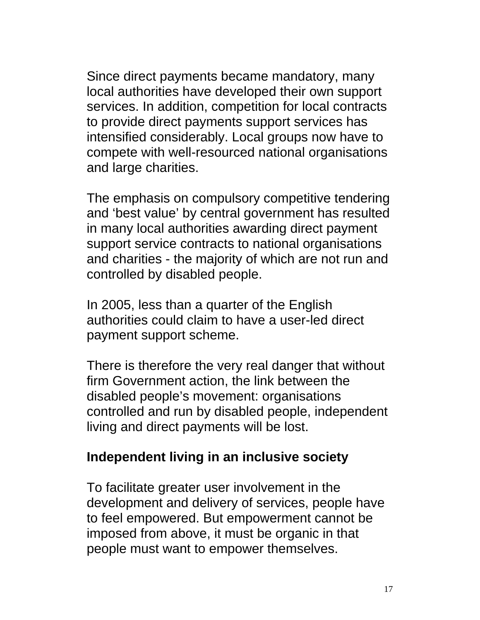Since direct payments became mandatory, many local authorities have developed their own support services. In addition, competition for local contracts to provide direct payments support services has intensified considerably. Local groups now have to compete with well-resourced national organisations and large charities.

The emphasis on compulsory competitive tendering and 'best value' by central government has resulted in many local authorities awarding direct payment support service contracts to national organisations and charities - the majority of which are not run and controlled by disabled people.

In 2005, less than a quarter of the English authorities could claim to have a user-led direct payment support scheme.

There is therefore the very real danger that without firm Government action, the link between the disabled people's movement: organisations controlled and run by disabled people, independent living and direct payments will be lost.

#### **Independent living in an inclusive society**

To facilitate greater user involvement in the development and delivery of services, people have to feel empowered. But empowerment cannot be imposed from above, it must be organic in that people must want to empower themselves.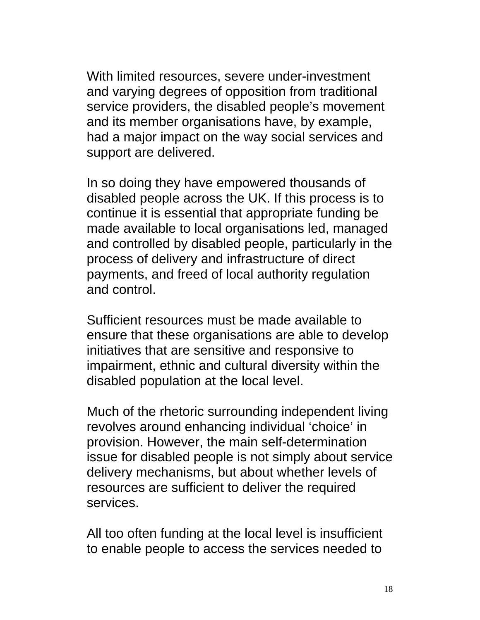With limited resources, severe under-investment and varying degrees of opposition from traditional service providers, the disabled people's movement and its member organisations have, by example, had a major impact on the way social services and support are delivered.

In so doing they have empowered thousands of disabled people across the UK. If this process is to continue it is essential that appropriate funding be made available to local organisations led, managed and controlled by disabled people, particularly in the process of delivery and infrastructure of direct payments, and freed of local authority regulation and control.

Sufficient resources must be made available to ensure that these organisations are able to develop initiatives that are sensitive and responsive to impairment, ethnic and cultural diversity within the disabled population at the local level.

Much of the rhetoric surrounding independent living revolves around enhancing individual 'choice' in provision. However, the main self-determination issue for disabled people is not simply about service delivery mechanisms, but about whether levels of resources are sufficient to deliver the required services.

All too often funding at the local level is insufficient to enable people to access the services needed to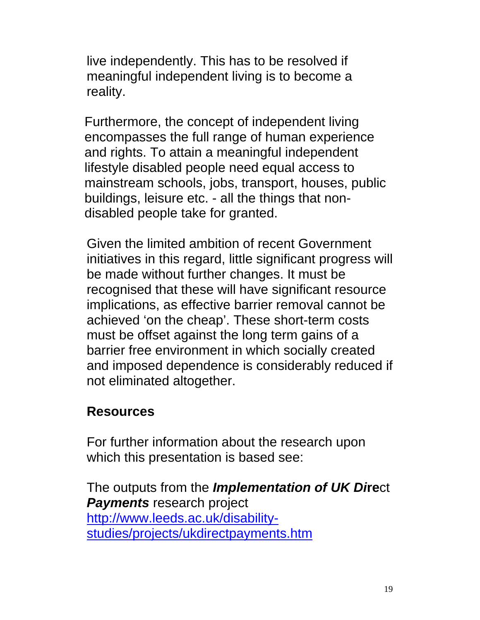live independently. This has to be resolved if meaningful independent living is to become a reality.

Furthermore, the concept of independent living encompasses the full range of human experience and rights. To attain a meaningful independent lifestyle disabled people need equal access to mainstream schools, jobs, transport, houses, public buildings, leisure etc. - all the things that nondisabled people take for granted.

Given the limited ambition of recent Government initiatives in this regard, little significant progress will be made without further changes. It must be recognised that these will have significant resource implications, as effective barrier removal cannot be achieved 'on the cheap'. These short-term costs must be offset against the long term gains of a barrier free environment in which socially created and imposed dependence is considerably reduced if not eliminated altogether.

## **Resources**

For further information about the research upon which this presentation is based see:

The outputs from the *Implementation of UK Di***re**ct *Payments* research project http://www.leeds.ac.uk/disabilitystudies/projects/ukdirectpayments.htm